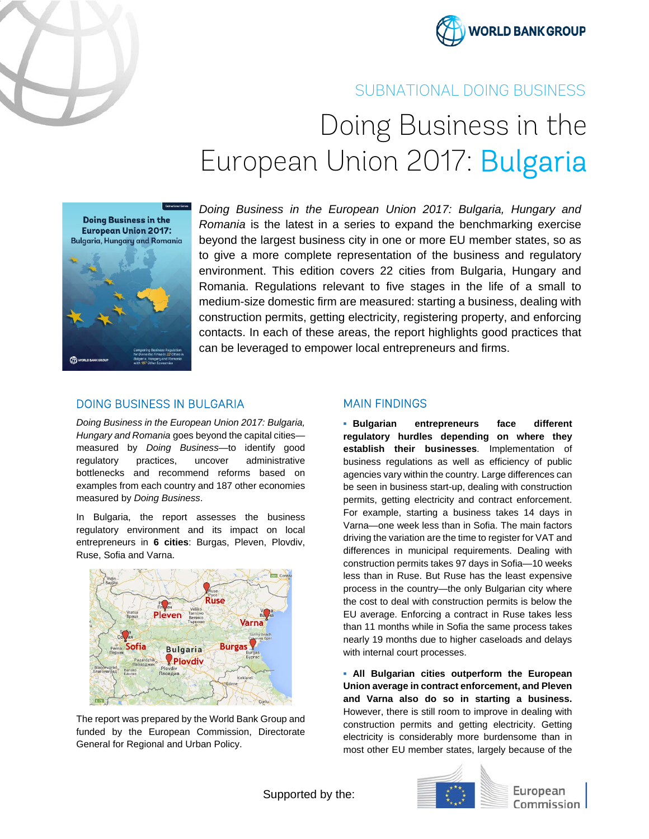



# SUBNATIONAL DOING BUSINESS

# Doing Business in the European Union 2017: Bulgaria



*Doing Business in the European Union 2017: Bulgaria, Hungary and Romania* is the latest in a series to expand the benchmarking exercise beyond the largest business city in one or more EU member states, so as to give a more complete representation of the business and regulatory environment. This edition covers 22 cities from Bulgaria, Hungary and Romania. Regulations relevant to five stages in the life of a small to medium-size domestic firm are measured: starting a business, dealing with construction permits, getting electricity, registering property, and enforcing contacts. In each of these areas, the report highlights good practices that can be leveraged to empower local entrepreneurs and firms.

## DOING BUSINESS IN BULGARIA

*Doing Business in the European Union 2017: Bulgaria, Hungary and Romania* goes beyond the capital cities measured by *Doing Business—*to identify good regulatory practices, uncover administrative bottlenecks and recommend reforms based on examples from each country and 187 other economies measured by *Doing Business*.

In Bulgaria, the report assesses the business regulatory environment and its impact on local entrepreneurs in **6 cities**: Burgas, Pleven, Plovdiv, Ruse, Sofia and Varna.



The report was prepared by the World Bank Group and funded by the European Commission, Directorate General for Regional and Urban Policy.

#### MAIN FINDINGS

**▪ Bulgarian entrepreneurs face different regulatory hurdles depending on where they establish their businesses**. Implementation of business regulations as well as efficiency of public agencies vary within the country. Large differences can be seen in business start-up, dealing with construction permits, getting electricity and contract enforcement. For example, starting a business takes 14 days in Varna—one week less than in Sofia. The main factors driving the variation are the time to register for VAT and differences in municipal requirements. Dealing with construction permits takes 97 days in Sofia—10 weeks less than in Ruse. But Ruse has the least expensive process in the country—the only Bulgarian city where the cost to deal with construction permits is below the EU average. Enforcing a contract in Ruse takes less than 11 months while in Sofia the same process takes nearly 19 months due to higher caseloads and delays with internal court processes.

**▪ All Bulgarian cities outperform the European Union average in contract enforcement, and Pleven and Varna also do so in starting a business.** However, there is still room to improve in dealing with construction permits and getting electricity. Getting electricity is considerably more burdensome than in most other EU member states, largely because of the